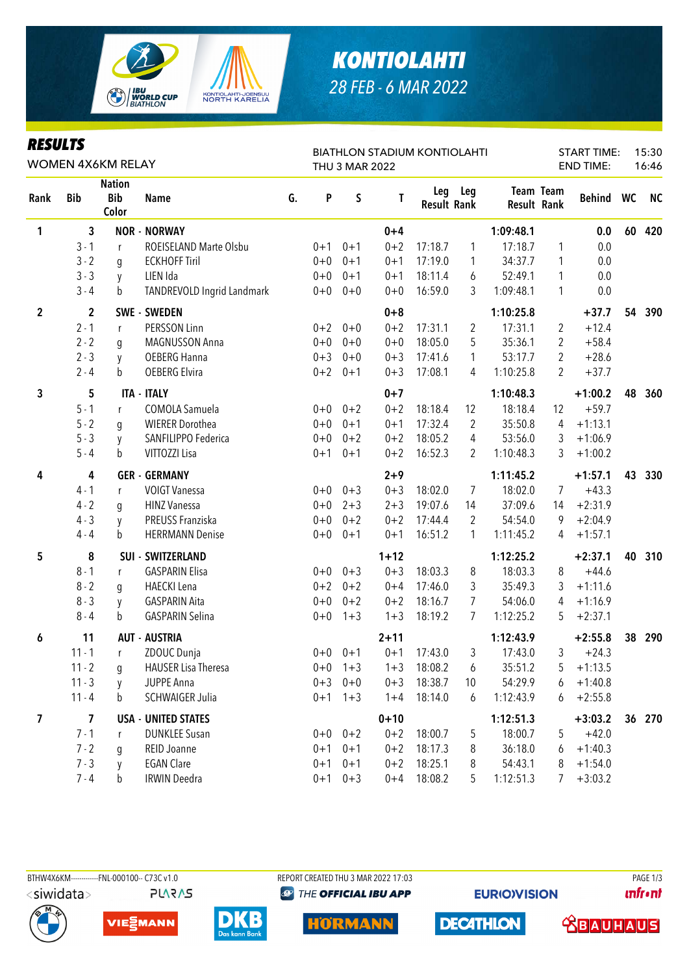

## *KONTIOLAHTI 28 FEB - 6 MAR 2022*

| <b>RESULTS</b><br><b>WOMEN 4X6KM RELAY</b> |                         |                                      |                            |    |         | <b>THU 3 MAR 2022</b> | <b>BIATHLON STADIUM KONTIOLAHTI</b> |                    | <b>START TIME:</b><br><b>END TIME:</b> |             | 15:30<br>16:46 |               |    |           |
|--------------------------------------------|-------------------------|--------------------------------------|----------------------------|----|---------|-----------------------|-------------------------------------|--------------------|----------------------------------------|-------------|----------------|---------------|----|-----------|
| Rank                                       | <b>Bib</b>              | <b>Nation</b><br><b>Bib</b><br>Color | <b>Name</b>                | G. | P       | S                     | T                                   | <b>Result Rank</b> | Leg Leg                                | Result Rank | Team Team      | <b>Behind</b> | WC | <b>NC</b> |
| 1                                          | 3                       |                                      | <b>NOR - NORWAY</b>        |    |         |                       | $0 + 4$                             |                    |                                        | 1:09:48.1   |                | 0.0           | 60 | 420       |
|                                            | $3 - 1$                 | $\mathsf{r}$                         | ROEISELAND Marte Olsbu     |    | $0 + 1$ | $0 + 1$               | $0 + 2$                             | 17:18.7            | 1                                      | 17:18.7     | 1              | 0.0           |    |           |
|                                            | $3 - 2$                 | g                                    | <b>ECKHOFF Tiril</b>       |    | $0 + 0$ | $0 + 1$               | $0 + 1$                             | 17:19.0            | 1                                      | 34:37.7     | 1              | 0.0           |    |           |
|                                            | $3 - 3$                 | y                                    | LIEN Ida                   |    | $0 + 0$ | $0 + 1$               | $0 + 1$                             | 18:11.4            | 6                                      | 52:49.1     | 1              | 0.0           |    |           |
|                                            | $3 - 4$                 | b                                    | TANDREVOLD Ingrid Landmark |    | $0+0$   | $0 + 0$               | $0 + 0$                             | 16:59.0            | 3                                      | 1:09:48.1   | 1              | 0.0           |    |           |
| $\overline{2}$                             | $\overline{2}$          |                                      | <b>SWE - SWEDEN</b>        |    |         |                       | $0 + 8$                             |                    |                                        | 1:10:25.8   |                | $+37.7$       | 54 | 390       |
|                                            | $2 - 1$                 | $\mathsf{r}$                         | PERSSON Linn               |    | $0 + 2$ | $0 + 0$               | $0 + 2$                             | 17:31.1            | $\overline{2}$                         | 17:31.1     | 2              | $+12.4$       |    |           |
|                                            | $2 - 2$                 | g                                    | MAGNUSSON Anna             |    | $0 + 0$ | $0 + 0$               | $0 + 0$                             | 18:05.0            | 5                                      | 35:36.1     | 2              | $+58.4$       |    |           |
|                                            | $2 - 3$                 | y                                    | <b>OEBERG Hanna</b>        |    | $0 + 3$ | $0 + 0$               | $0 + 3$                             | 17:41.6            | 1                                      | 53:17.7     | 2              | $+28.6$       |    |           |
|                                            | $2 - 4$                 | b                                    | OEBERG Elvira              |    | $0 + 2$ | $0 + 1$               | $0 + 3$                             | 17:08.1            | 4                                      | 1:10:25.8   | $\overline{2}$ | $+37.7$       |    |           |
| 3                                          | 5                       |                                      | <b>ITA - ITALY</b>         |    |         |                       | $0 + 7$                             |                    |                                        | 1:10:48.3   |                | $+1:00.2$     | 48 | 360       |
|                                            | $5 - 1$                 | r                                    | COMOLA Samuela             |    | $0+0$   | $0 + 2$               | $0 + 2$                             | 18:18.4            | 12                                     | 18:18.4     | 12             | $+59.7$       |    |           |
|                                            | $5 - 2$                 | q                                    | <b>WIERER Dorothea</b>     |    | $0 + 0$ | $0 + 1$               | $0 + 1$                             | 17:32.4            | $\overline{2}$                         | 35:50.8     | 4              | $+1:13.1$     |    |           |
|                                            | $5 - 3$                 | y                                    | SANFILIPPO Federica        |    | $0 + 0$ | $0 + 2$               | $0 + 2$                             | 18:05.2            | 4                                      | 53:56.0     | 3              | $+1:06.9$     |    |           |
|                                            | $5 - 4$                 | b                                    | VITTOZZI Lisa              |    | $0 + 1$ | $0 + 1$               | $0 + 2$                             | 16:52.3            | 2                                      | 1:10:48.3   | 3              | $+1:00.2$     |    |           |
| 4                                          | 4                       |                                      | <b>GER - GERMANY</b>       |    |         |                       | $2 + 9$                             |                    |                                        | 1:11:45.2   |                | $+1:57.1$     | 43 | 330       |
|                                            | $4 - 1$                 | r                                    | <b>VOIGT Vanessa</b>       |    | $0+0$   | $0 + 3$               | $0 + 3$                             | 18:02.0            | $\overline{7}$                         | 18:02.0     | 7              | $+43.3$       |    |           |
|                                            | $4 - 2$                 | g                                    | <b>HINZ Vanessa</b>        |    | $0 + 0$ | $2 + 3$               | $2 + 3$                             | 19:07.6            | 14                                     | 37:09.6     | 14             | $+2:31.9$     |    |           |
|                                            | $4 - 3$                 | y                                    | PREUSS Franziska           |    | $0+0$   | $0 + 2$               | $0 + 2$                             | 17:44.4            | $\overline{2}$                         | 54:54.0     | 9              | $+2:04.9$     |    |           |
|                                            | $4 - 4$                 | b                                    | <b>HERRMANN Denise</b>     |    | $0+0$   | $0 + 1$               | $0 + 1$                             | 16:51.2            | 1                                      | 1:11:45.2   | 4              | $+1:57.1$     |    |           |
| 5                                          | 8                       |                                      | <b>SUI - SWITZERLAND</b>   |    |         |                       | $1 + 12$                            |                    |                                        | 1:12:25.2   |                | $+2:37.1$     | 40 | 310       |
|                                            | $8 - 1$                 | $\mathsf{r}$                         | <b>GASPARIN Elisa</b>      |    | $0 + 0$ | $0 + 3$               | $0 + 3$                             | 18:03.3            | 8                                      | 18:03.3     | 8              | $+44.6$       |    |           |
|                                            | $8 - 2$                 | g                                    | <b>HAECKI</b> Lena         |    | $0 + 2$ | $0 + 2$               | $0 + 4$                             | 17:46.0            | 3                                      | 35:49.3     | 3              | $+1:11.6$     |    |           |
|                                            | $8 - 3$                 | y                                    | <b>GASPARIN Aita</b>       |    | $0 + 0$ | $0 + 2$               | $0 + 2$                             | 18:16.7            | 7                                      | 54:06.0     | 4              | $+1:16.9$     |    |           |
|                                            | $8 - 4$                 | b                                    | <b>GASPARIN Selina</b>     |    | $0+0$   | $1 + 3$               | $1 + 3$                             | 18:19.2            | 7                                      | 1:12:25.2   | 5              | $+2:37.1$     |    |           |
| 6                                          | 11                      |                                      | <b>AUT - AUSTRIA</b>       |    |         |                       | $2 + 11$                            |                    |                                        | 1:12:43.9   |                | $+2:55.8$     | 38 | 290       |
|                                            | $11 - 1$                | r                                    | ZDOUC Dunja                |    | $0+0$   | $0 + 1$               | $0 + 1$                             | 17:43.0            | 3                                      | 17:43.0     | 3              | $+24.3$       |    |           |
|                                            | $11 - 2$                | g                                    | <b>HAUSER Lisa Theresa</b> |    |         | $0+0$ 1+3             | $1 + 3$                             | 18:08.2            | 6                                      | 35:51.2     | 5              | $+1:13.5$     |    |           |
|                                            | $11 - 3$                | y                                    | <b>JUPPE Anna</b>          |    | $0 + 3$ | $0 + 0$               | $0 + 3$                             | 18:38.7            | 10                                     | 54:29.9     | 6              | $+1:40.8$     |    |           |
|                                            | $11 - 4$                | b                                    | <b>SCHWAIGER Julia</b>     |    |         | $0+1$ 1+3             | $1 + 4$                             | 18:14.0            | 6                                      | 1:12:43.9   | 6              | $+2:55.8$     |    |           |
| 7                                          | $\overline{\mathbf{z}}$ |                                      | <b>USA - UNITED STATES</b> |    |         |                       | $0 + 10$                            |                    |                                        | 1:12:51.3   |                | $+3:03.2$     |    | 36 270    |
|                                            | $7 - 1$                 | r                                    | <b>DUNKLEE Susan</b>       |    |         | $0+0$ $0+2$           | $0 + 2$                             | 18:00.7            | 5                                      | 18:00.7     | 5              | $+42.0$       |    |           |
|                                            | $7 - 2$                 | g                                    | REID Joanne                |    | $0 + 1$ | $0 + 1$               | $0 + 2$                             | 18:17.3            | 8                                      | 36:18.0     | 6              | $+1:40.3$     |    |           |
|                                            | $7 - 3$                 | y                                    | <b>EGAN Clare</b>          |    | $0 + 1$ | $0 + 1$               | $0 + 2$                             | 18:25.1            | 8                                      | 54:43.1     | 8              | $+1:54.0$     |    |           |
|                                            | $7 - 4$                 | b                                    | <b>IRWIN Deedra</b>        |    |         | $0+1$ $0+3$           | $0 + 4$                             | 18:08.2            | 5                                      | 1:12:51.3   | 7              | $+3:03.2$     |    |           |

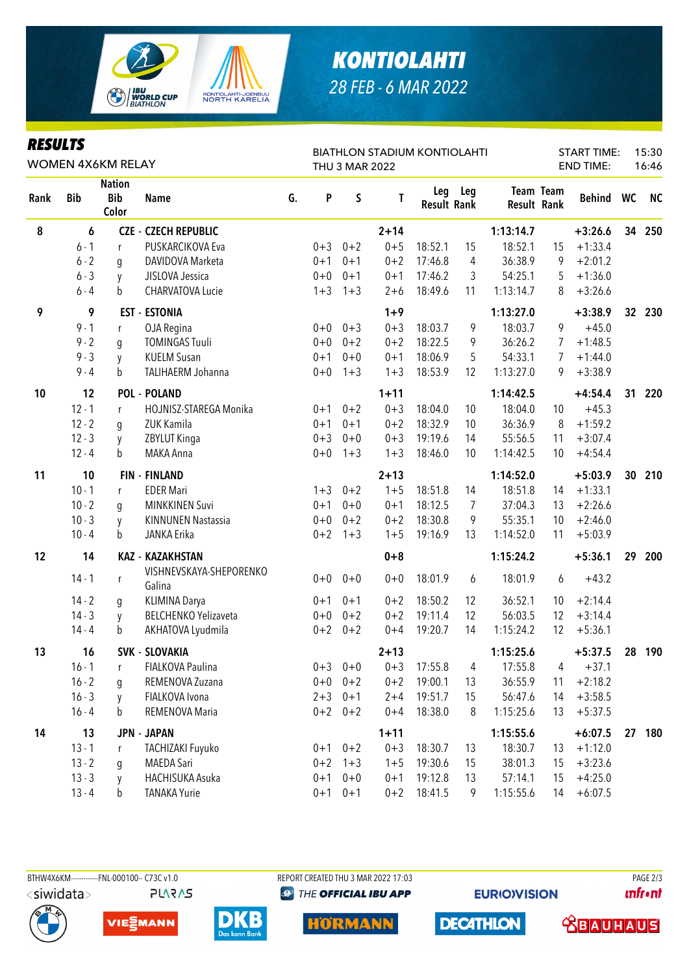

## **KONTIOLAHTI** 28 FEB - 6 MAR 2022

| <b>RESULTS</b><br><b>WOMEN 4X6KM RELAY</b> |            |                                      |                                   |    |         | <b>THU 3 MAR 2022</b> | <b>BIATHLON STADIUM KONTIOLAHTI</b> |                           | <b>START TIME:</b><br><b>END TIME:</b> |             | 15:30<br>16:46   |           |                 |           |
|--------------------------------------------|------------|--------------------------------------|-----------------------------------|----|---------|-----------------------|-------------------------------------|---------------------------|----------------------------------------|-------------|------------------|-----------|-----------------|-----------|
| Rank                                       | <b>Bib</b> | <b>Nation</b><br><b>Bib</b><br>Color | <b>Name</b>                       | G. | P       | S                     | Τ                                   | Leg<br><b>Result Rank</b> | Leg                                    | Result Rank | <b>Team Team</b> | Behind WC |                 | <b>NC</b> |
| 8                                          | 6          |                                      | <b>CZE - CZECH REPUBLIC</b>       |    |         |                       | $2 + 14$                            |                           |                                        | 1:13:14.7   |                  | $+3:26.6$ | 34              | 250       |
|                                            | $6 - 1$    | r                                    | PUSKARCIKOVA Eva                  |    | $0 + 3$ | $0 + 2$               | $0 + 5$                             | 18:52.1                   | 15                                     | 18:52.1     | 15               | $+1:33.4$ |                 |           |
|                                            | $6 - 2$    | g                                    | DAVIDOVA Marketa                  |    | $0 + 1$ | $0 + 1$               | $0 + 2$                             | 17:46.8                   | 4                                      | 36:38.9     | 9                | $+2:01.2$ |                 |           |
|                                            | $6 - 3$    | y                                    | JISLOVA Jessica                   |    | $0 + 0$ | $0 + 1$               | $0 + 1$                             | 17:46.2                   | 3                                      | 54:25.1     | 5                | $+1:36.0$ |                 |           |
|                                            | $6 - 4$    | b                                    | CHARVATOVA Lucie                  |    | $1 + 3$ | $1 + 3$               | $2 + 6$                             | 18:49.6                   | 11                                     | 1:13:14.7   | 8                | $+3:26.6$ |                 |           |
| 9                                          | 9          |                                      | <b>EST - ESTONIA</b>              |    |         |                       | $1 + 9$                             |                           |                                        | 1:13:27.0   |                  | $+3:38.9$ | 32 <sub>2</sub> | 230       |
|                                            | $9 - 1$    | r                                    | OJA Regina                        |    | $0 + 0$ | $0 + 3$               | $0 + 3$                             | 18:03.7                   | 9                                      | 18:03.7     | 9                | $+45.0$   |                 |           |
|                                            | $9 - 2$    | g                                    | <b>TOMINGAS Tuuli</b>             |    | $0 + 0$ | $0 + 2$               | $0 + 2$                             | 18:22.5                   | 9                                      | 36:26.2     | 7                | $+1:48.5$ |                 |           |
|                                            | $9 - 3$    | y                                    | <b>KUELM Susan</b>                |    | $0 + 1$ | $0 + 0$               | $0 + 1$                             | 18:06.9                   | 5                                      | 54:33.1     | 7                | $+1:44.0$ |                 |           |
|                                            | $9 - 4$    | b                                    | TALIHAERM Johanna                 |    | $0 + 0$ | $1 + 3$               | $1 + 3$                             | 18:53.9                   | 12                                     | 1:13:27.0   | 9                | $+3:38.9$ |                 |           |
| 10                                         | 12         |                                      | <b>POL - POLAND</b>               |    |         |                       | $1 + 11$                            |                           |                                        | 1:14:42.5   |                  | $+4:54.4$ | 31              | 220       |
|                                            | $12 - 1$   | r                                    | HOJNISZ-STAREGA Monika            |    | $0 + 1$ | $0 + 2$               | $0 + 3$                             | 18:04.0                   | 10                                     | 18:04.0     | 10               | $+45.3$   |                 |           |
|                                            | $12 - 2$   | g                                    | ZUK Kamila                        |    | $0 + 1$ | $0 + 1$               | $0 + 2$                             | 18:32.9                   | 10                                     | 36:36.9     | 8                | $+1:59.2$ |                 |           |
|                                            | $12 - 3$   | y                                    | ZBYLUT Kinga                      |    | $0 + 3$ | $0 + 0$               | $0 + 3$                             | 19:19.6                   | 14                                     | 55:56.5     | 11               | $+3:07.4$ |                 |           |
|                                            | $12 - 4$   | b                                    | MAKA Anna                         |    | $0 + 0$ | $1 + 3$               | $1 + 3$                             | 18:46.0                   | 10                                     | 1:14:42.5   | 10               | $+4:54.4$ |                 |           |
| 11                                         | 10         |                                      | <b>FIN - FINLAND</b>              |    |         |                       | $2 + 13$                            |                           |                                        | 1:14:52.0   |                  | $+5:03.9$ | 30              | 210       |
|                                            | $10 - 1$   | r                                    | <b>EDER Mari</b>                  |    | $1 + 3$ | $0 + 2$               | $1 + 5$                             | 18:51.8                   | 14                                     | 18:51.8     | 14               | $+1:33.1$ |                 |           |
|                                            | $10 - 2$   | g                                    | <b>MINKKINEN Suvi</b>             |    | $0 + 1$ | $0 + 0$               | $0 + 1$                             | 18:12.5                   | $\overline{7}$                         | 37:04.3     | 13               | $+2:26.6$ |                 |           |
|                                            | $10 - 3$   | y                                    | <b>KINNUNEN Nastassia</b>         |    | $0 + 0$ | $0 + 2$               | $0 + 2$                             | 18:30.8                   | 9                                      | 55:35.1     | 10               | $+2:46.0$ |                 |           |
|                                            | $10 - 4$   | b                                    | JANKA Erika                       |    | $0 + 2$ | $1 + 3$               | $1 + 5$                             | 19:16.9                   | 13                                     | 1:14:52.0   | 11               | $+5:03.9$ |                 |           |
| 12                                         | 14         |                                      | <b>KAZ - KAZAKHSTAN</b>           |    |         |                       | $0 + 8$                             |                           |                                        | 1:15:24.2   |                  | $+5:36.1$ | 29              | 200       |
|                                            | $14 - 1$   | r                                    | VISHNEVSKAYA-SHEPORENKO<br>Galina |    | $0 + 0$ | $0 + 0$               | $0 + 0$                             | 18:01.9                   | 6                                      | 18:01.9     | 6                | $+43.2$   |                 |           |
|                                            | $14 - 2$   | g                                    | KLIMINA Darya                     |    | $0 + 1$ | $0 + 1$               | $0 + 2$                             | 18:50.2                   | 12                                     | 36:52.1     | 10               | $+2:14.4$ |                 |           |
|                                            | $14 - 3$   | y                                    | <b>BELCHENKO Yelizaveta</b>       |    | $0 + 0$ | $0 + 2$               | $0 + 2$                             | 19:11.4                   | 12                                     | 56:03.5     | 12               | $+3:14.4$ |                 |           |
|                                            | $14 - 4$   | b                                    | AKHATOVA Lyudmila                 |    | $0 + 2$ | $0 + 2$               | $0 + 4$                             | 19:20.7                   | 14                                     | 1:15:24.2   | 12               | $+5:36.1$ |                 |           |
| 13                                         | 16         |                                      | SVK - SLOVAKIA                    |    |         |                       | $2 + 13$                            |                           |                                        | 1:15:25.6   |                  | $+5:37.5$ | 28              | 190       |
|                                            | $16 - 1$   | r                                    | FIALKOVA Paulina                  |    | $0 + 3$ | $0 + 0$               | $0 + 3$                             | 17:55.8                   | 4                                      | 17:55.8     | 4                | $+37.1$   |                 |           |
|                                            | $16 - 2$   | g                                    | REMENOVA Zuzana                   |    | $0 + 0$ | $0 + 2$               | $0 + 2$                             | 19:00.1                   | 13                                     | 36:55.9     | 11               | $+2:18.2$ |                 |           |
|                                            | $16 - 3$   | y                                    | FIALKOVA Ivona                    |    | $2 + 3$ | $0 + 1$               | $2 + 4$                             | 19:51.7                   | 15                                     | 56:47.6     | 14               | $+3:58.5$ |                 |           |
|                                            | $16 - 4$   | b                                    | REMENOVA Maria                    |    | $0 + 2$ | $0 + 2$               | $0 + 4$                             | 18:38.0                   | 8                                      | 1:15:25.6   | 13               | $+5:37.5$ |                 |           |
| 14                                         | 13         |                                      | <b>JPN - JAPAN</b>                |    |         |                       | $1 + 11$                            |                           |                                        | 1:15:55.6   |                  | $+6:07.5$ |                 | 27 180    |
|                                            | $13 - 1$   | r                                    | <b>TACHIZAKI Fuyuko</b>           |    | $0 + 1$ | $0 + 2$               | $0 + 3$                             | 18:30.7                   | 13                                     | 18:30.7     | 13               | $+1:12.0$ |                 |           |
|                                            | $13 - 2$   | g                                    | MAEDA Sari                        |    | $0 + 2$ | $1 + 3$               | $1 + 5$                             | 19:30.6                   | 15                                     | 38:01.3     | 15               | $+3:23.6$ |                 |           |
|                                            | $13 - 3$   | у                                    | HACHISUKA Asuka                   |    | $0 + 1$ | $0 + 0$               | $0 + 1$                             | 19:12.8                   | 13                                     | 57:14.1     | 15               | $+4:25.0$ |                 |           |
|                                            | $13 - 4$   | b                                    | <b>TANAKA Yurie</b>               |    | $0 + 1$ | $0 + 1$               | $0 + 2$                             | 18:41.5                   | 9                                      | 1:15:55.6   | 14               | $+6:07.5$ |                 |           |